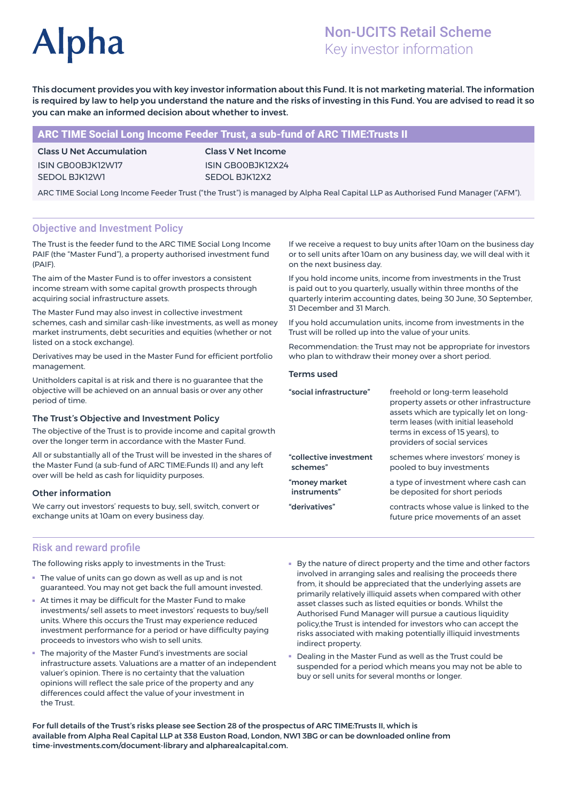# **Alpha**

# Non-UCITS Retail Scheme Key investor information

This document provides you with key investor information about this Fund. It is not marketing material. The information is required by law to help you understand the nature and the risks of investing in this Fund. You are advised to read it so you can make an informed decision about whether to invest.

# ARC TIME Social Long Income Feeder Trust, a sub-fund of ARC TIME:Trusts II

Class U Net Accumulation ISIN GB00BJK12W17 SEDOL BJK12W1

Class V Net Income ISIN GB00BJK12X24 SEDOL BJK12X2

ARC TIME Social Long Income Feeder Trust ("the Trust") is managed by Alpha Real Capital LLP as Authorised Fund Manager ("AFM").

# Objective and Investment Policy

The Trust is the feeder fund to the ARC TIME Social Long Income PAIF (the "Master Fund"), a property authorised investment fund (PAIF).

The aim of the Master Fund is to offer investors a consistent income stream with some capital growth prospects through acquiring social infrastructure assets.

The Master Fund may also invest in collective investment schemes, cash and similar cash-like investments, as well as money market instruments, debt securities and equities (whether or not listed on a stock exchange).

Derivatives may be used in the Master Fund for efficient portfolio management.

Unitholders capital is at risk and there is no guarantee that the objective will be achieved on an annual basis or over any other period of time.

#### The Trust's Objective and Investment Policy

The objective of the Trust is to provide income and capital growth over the longer term in accordance with the Master Fund.

All or substantially all of the Trust will be invested in the shares of the Master Fund (a sub-fund of ARC TIME:Funds II) and any left over will be held as cash for liquidity purposes.

### Other information

We carry out investors' requests to buy, sell, switch, convert or exchange units at 10am on every business day.

If we receive a request to buy units after 10am on the business day or to sell units after 10am on any business day, we will deal with it on the next business day.

If you hold income units, income from investments in the Trust is paid out to you quarterly, usually within three months of the quarterly interim accounting dates, being 30 June, 30 September, 31 December and 31 March.

If you hold accumulation units, income from investments in the Trust will be rolled up into the value of your units.

Recommendation: the Trust may not be appropriate for investors who plan to withdraw their money over a short period.

#### Terms used

| "social infrastructure" | freehold or long-term leasehold<br>property assets or other infrastructure<br>assets which are typically let on long-<br>term leases (with initial leasehold<br>terms in excess of 15 years), to<br>providers of social services |
|-------------------------|----------------------------------------------------------------------------------------------------------------------------------------------------------------------------------------------------------------------------------|
| "collective investment  | schemes where investors' money is                                                                                                                                                                                                |
| schemes"                | pooled to buy investments                                                                                                                                                                                                        |
| "money market           | a type of investment where cash can                                                                                                                                                                                              |
| instruments"            | be deposited for short periods                                                                                                                                                                                                   |
| "derivatives"           | contracts whose value is linked to the<br>future price movements of an asset                                                                                                                                                     |

### Risk and reward profile

The following risks apply to investments in the Trust:

- The value of units can go down as well as up and is not guaranteed. You may not get back the full amount invested.
- At times it may be difficult for the Master Fund to make investments/ sell assets to meet investors' requests to buy/sell units. Where this occurs the Trust may experience reduced investment performance for a period or have difficulty paying proceeds to investors who wish to sell units.
- The majority of the Master Fund's investments are social infrastructure assets. Valuations are a matter of an independent valuer's opinion. There is no certainty that the valuation opinions will reflect the sale price of the property and any differences could affect the value of your investment in the Trust.
- By the nature of direct property and the time and other factors involved in arranging sales and realising the proceeds there from, it should be appreciated that the underlying assets are primarily relatively illiquid assets when compared with other asset classes such as listed equities or bonds. Whilst the Authorised Fund Manager will pursue a cautious liquidity policy,the Trust is intended for investors who can accept the risks associated with making potentially illiquid investments indirect property.
- Dealing in the Master Fund as well as the Trust could be suspended for a period which means you may not be able to buy or sell units for several months or longer.

For full details of the Trust's risks please see Section 28 of the prospectus of ARC TIME:Trusts II, which is available from Alpha Real Capital LLP at 338 Euston Road, London, NW1 3BG or can be downloaded online from time-investments.com/document-library and alpharealcapital.com.